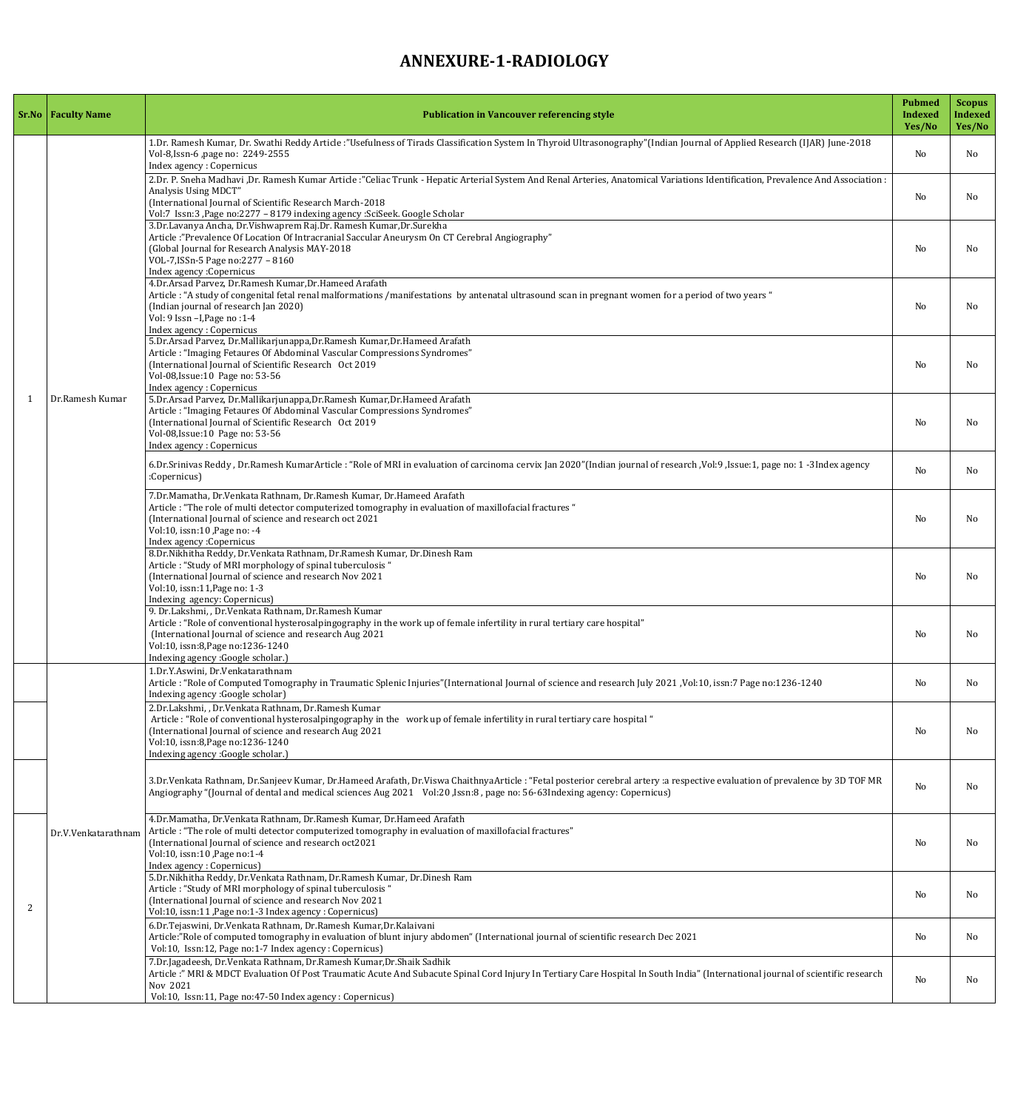## **ANNEXURE-1-RADIOLOGY**

|  | <b>Sr.No</b>   Faculty Name | <b>Publication in Vancouver referencing style</b>                                                                                                                                                                                                                                                                                                  | <b>Pubmed</b><br><b>Indexed</b><br>Yes/No | <b>Scopus</b><br><b>Indexed</b><br>Yes/No |
|--|-----------------------------|----------------------------------------------------------------------------------------------------------------------------------------------------------------------------------------------------------------------------------------------------------------------------------------------------------------------------------------------------|-------------------------------------------|-------------------------------------------|
|  | Dr.Ramesh Kumar             | 1.Dr. Ramesh Kumar, Dr. Swathi Reddy Article :"Usefulness of Tirads Classification System In Thyroid Ultrasonography"(Indian Journal of Applied Research (IJAR) June-2018<br>Vol-8, Issn-6, page no: 2249-2555<br>Index agency : Copernicus                                                                                                        | N <sub>o</sub>                            | N <sub>o</sub>                            |
|  |                             | 2.Dr. P. Sneha Madhavi ,Dr. Ramesh Kumar Article:"Celiac Trunk - Hepatic Arterial System And Renal Arteries, Anatomical Variations Identification, Prevalence And Association :<br>Analysis Using MDCT"<br>(International Journal of Scientific Research March-2018<br>Vol:7 Issn:3, Page no:2277 - 8179 indexing agency : SciSeek. Google Scholar | N <sub>o</sub>                            | No                                        |
|  |                             | 3.Dr.Lavanya Ancha, Dr.Vishwaprem Raj.Dr. Ramesh Kumar, Dr.Surekha<br>Article:"Prevalence Of Location Of Intracranial Saccular Aneurysm On CT Cerebral Angiography"<br>(Global Journal for Research Analysis MAY-2018)<br>VOL-7, ISSn-5 Page no: 2277 - 8160<br>Index agency : Copernicus                                                          | N <sub>0</sub>                            | No.                                       |
|  |                             | 4.Dr.Arsad Parvez, Dr.Ramesh Kumar, Dr.Hameed Arafath<br>Article: "A study of congenital fetal renal malformations /manifestations by antenatal ultrasound scan in pregnant women for a period of two years "<br>(Indian journal of research Jan 2020)<br>Vol: 9 Issn - I, Page no: 1-4<br><b>Index agency: Copernicus</b>                         | N <sub>o</sub>                            | No.                                       |
|  |                             | 5.Dr.Arsad Parvez, Dr.Mallikarjunappa,Dr.Ramesh Kumar,Dr.Hameed Arafath<br>Article: "Imaging Fetaures Of Abdominal Vascular Compressions Syndromes"<br>(International Journal of Scientific Research Oct 2019<br>Vol-08, Issue: 10 Page no: 53-56<br>Index agency : Copernicus                                                                     | N <sub>o</sub>                            | No.                                       |
|  |                             | 5.Dr.Arsad Parvez, Dr.Mallikarjunappa,Dr.Ramesh Kumar,Dr.Hameed Arafath<br>Article: "Imaging Fetaures Of Abdominal Vascular Compressions Syndromes"<br>(International Journal of Scientific Research Oct 2019<br>Vol-08, Issue: 10 Page no: 53-56<br>Index agency : Copernicus                                                                     | N <sub>o</sub>                            | No.                                       |
|  |                             | 6.Dr.Srinivas Reddy, Dr.Ramesh KumarArticle: "Role of MRI in evaluation of carcinoma cervix Jan 2020"(Indian journal of research, Vol:9, Issue:1, page no: 1 -3Index agency<br>:Copernicus)                                                                                                                                                        | N <sub>o</sub>                            | No.                                       |
|  |                             | 7.Dr.Mamatha, Dr.Venkata Rathnam, Dr.Ramesh Kumar, Dr.Hameed Arafath<br>Article : "The role of multi detector computerized tomography in evaluation of maxillofacial fractures "<br>(International Journal of science and research oct 2021<br>Vol:10, issn:10, Page no: -4<br>Index agency: Copernicus                                            | N <sub>o</sub>                            | No.                                       |
|  |                             | 8.Dr. Nikhitha Reddy, Dr. Venkata Rathnam, Dr. Ramesh Kumar, Dr. Dinesh Ram<br>Article: "Study of MRI morphology of spinal tuberculosis "<br>(International Journal of science and research Nov 2021<br>Vol:10, issn:11, Page no: 1-3<br>Indexing agency: Copernicus)                                                                              | N <sub>o</sub>                            | No.                                       |
|  |                             | 9. Dr.Lakshmi, , Dr.Venkata Rathnam, Dr.Ramesh Kumar<br>Article : "Role of conventional hysterosalpingography in the work up of female infertility in rural tertiary care hospital"<br>(International Journal of science and research Aug 2021<br>Vol:10, issn:8, Page no: 1236-1240<br>Indexing agency : Google scholar.)                         | N <sub>o</sub>                            | No.                                       |
|  |                             | 1.Dr.Y.Aswini, Dr.Venkatarathnam<br>Article: "Role of Computed Tomography in Traumatic Splenic Injuries" (International Journal of science and research July 2021, Vol:10, issn: 7 Page no:1236-1240<br>Indexing agency : Google scholar)                                                                                                          | N <sub>o</sub>                            | No.                                       |
|  | Dr.V.Venkatarathnam         | 2.Dr.Lakshmi, , Dr.Venkata Rathnam, Dr.Ramesh Kumar<br>Article: "Role of conventional hysterosalpingography in the work up of female infertility in rural tertiary care hospital "<br>(International Journal of science and research Aug 2021<br>Vol:10, issn:8, Page no: 1236-1240<br>Indexing agency : Google scholar.)                          | N <sub>o</sub>                            | No.                                       |
|  |                             | 3.Dr.Venkata Rathnam, Dr.Sanjeev Kumar, Dr.Hameed Arafath, Dr.Viswa ChaithnyaArticle: "Fetal posterior cerebral artery :a respective evaluation of prevalence by 3D TOF MR<br>Angiography "(Journal of dental and medical sciences Aug 2021 Vol:20, Issn:8, page no: 56-63Indexing agency: Copernicus)                                             | N <sub>o</sub>                            | No.                                       |
|  |                             | 4.Dr.Mamatha, Dr.Venkata Rathnam, Dr.Ramesh Kumar, Dr.Hameed Arafath<br>Article : "The role of multi detector computerized tomography in evaluation of maxillofacial fractures"<br>(International Journal of science and research oct2021<br>Vol:10, issn:10, Page no:1-4<br>Index agency : Copernicus)                                            | N <sub>0</sub>                            | No.                                       |
|  |                             | 5.Dr.Nikhitha Reddy, Dr.Venkata Rathnam, Dr.Ramesh Kumar, Dr.Dinesh Ram<br>Article: "Study of MRI morphology of spinal tuberculosis "<br>(International Journal of science and research Nov 2021<br>Vol:10, issn:11, Page no:1-3 Index agency : Copernicus)                                                                                        | N <sub>o</sub>                            | No.                                       |
|  |                             | 6.Dr. Tejaswini, Dr. Venkata Rathnam, Dr. Ramesh Kumar, Dr. Kalaivani<br>Article:"Role of computed tomography in evaluation of blunt injury abdomen" (International journal of scientific research Dec 2021<br>Vol:10, Issn:12, Page no:1-7 Index agency : Copernicus)                                                                             | N <sub>o</sub>                            | No                                        |
|  |                             | 7.Dr.Jagadeesh, Dr.Venkata Rathnam, Dr.Ramesh Kumar, Dr.Shaik Sadhik<br>Article:" MRI & MDCT Evaluation Of Post Traumatic Acute And Subacute Spinal Cord Injury In Tertiary Care Hospital In South India" (International journal of scientific research<br>Nov 2021<br>Vol:10, Issn:11, Page no:47-50 Index agency : Copernicus)                   | N <sub>o</sub>                            | No.                                       |